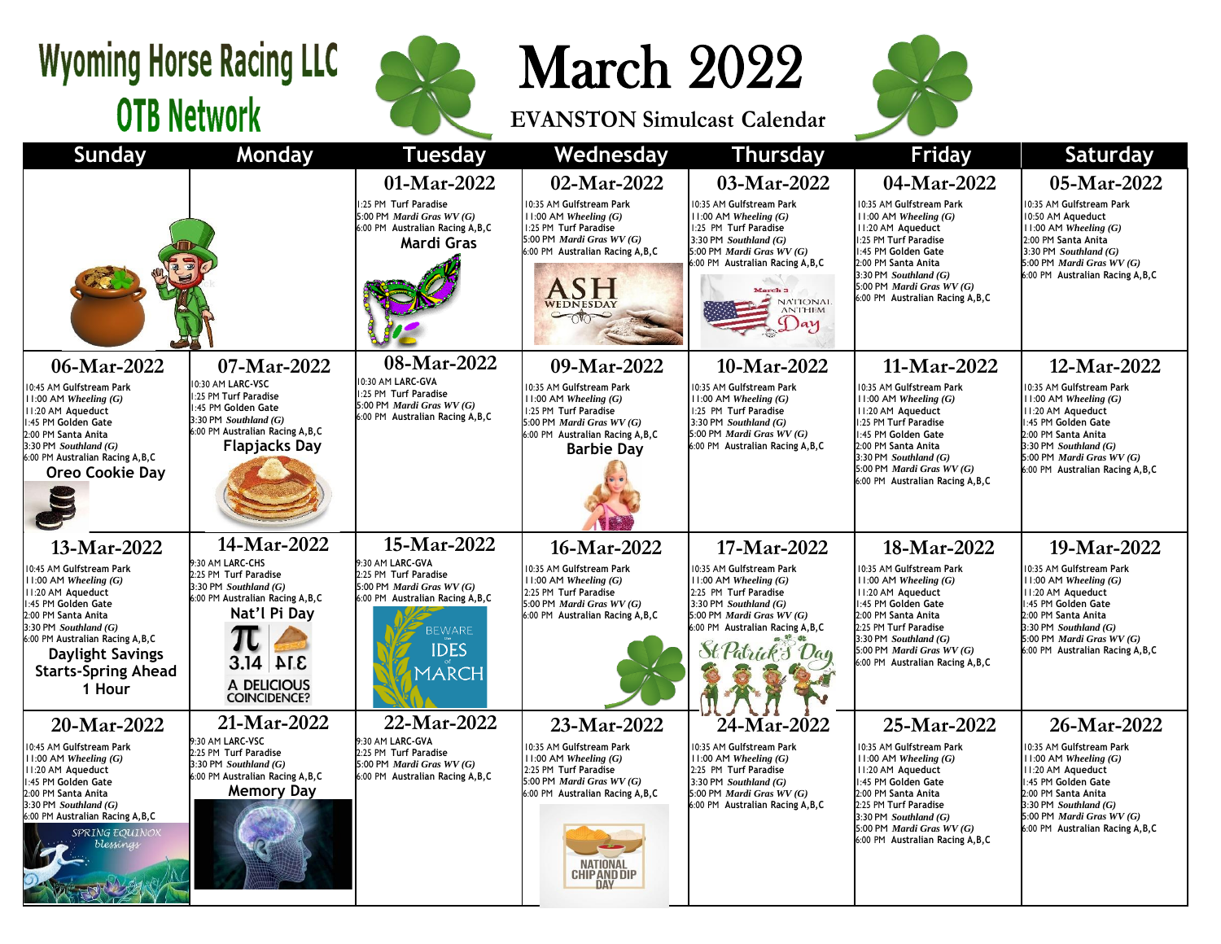## **Wyoming Horse Racing LLC OTB Network**



March 2022

**EVANSTON Simulcast Calendar**



| Sunday                                                                                                                                                                                                                                                        | <b>Monday</b>                                                                                                                                                                 | <b>Tuesday</b>                                                                                                                                              | Wednesday                                                                                                                                                               | <b>Thursday</b>                                                                                                                                                                                                       | Friday                                                                                                                                                                                                                                           | <b>Saturday</b>                                                                                                                                                                                                         |  |
|---------------------------------------------------------------------------------------------------------------------------------------------------------------------------------------------------------------------------------------------------------------|-------------------------------------------------------------------------------------------------------------------------------------------------------------------------------|-------------------------------------------------------------------------------------------------------------------------------------------------------------|-------------------------------------------------------------------------------------------------------------------------------------------------------------------------|-----------------------------------------------------------------------------------------------------------------------------------------------------------------------------------------------------------------------|--------------------------------------------------------------------------------------------------------------------------------------------------------------------------------------------------------------------------------------------------|-------------------------------------------------------------------------------------------------------------------------------------------------------------------------------------------------------------------------|--|
|                                                                                                                                                                                                                                                               |                                                                                                                                                                               | 01-Mar-2022                                                                                                                                                 | 02-Mar-2022                                                                                                                                                             | 03-Mar-2022                                                                                                                                                                                                           | 04-Mar-2022                                                                                                                                                                                                                                      | 05-Mar-2022                                                                                                                                                                                                             |  |
|                                                                                                                                                                                                                                                               |                                                                                                                                                                               | :25 PM Turf Paradise<br>5:00 PM Mardi Gras WV (G)<br>6:00 PM Australian Racing A, B, C<br>Mardi Gras                                                        | 10:35 AM Gulfstream Park<br>$11:00$ AM Wheeling $(G)$<br>1:25 PM Turf Paradise<br>5:00 PM Mardi Gras WV (G)<br>6:00 PM Australian Racing A, B, C<br>WEDNESDAY           | 10:35 AM Gulfstream Park<br>$11:00$ AM Wheeling $(G)$<br>1:25 PM Turf Paradise<br>3:30 PM Southland $(G)$<br>5:00 PM Mardi Gras WV (G)<br>6:00 PM Australian Racing A, B, C<br>March <sub>3</sub><br>NATIONAL<br>(Jay | 10:35 AM Gulfstream Park<br>$11:00$ AM Wheeling $(G)$<br>11:20 AM Aqueduct<br>1:25 PM Turf Paradise<br>1:45 PM Golden Gate<br>2:00 PM Santa Anita<br>$3:30$ PM Southland $(G)$<br>5:00 PM Mardi Gras WV (G)<br>6:00 PM Australian Racing A, B, C | 10:35 AM Gulfstream Park<br>10:50 AM Aqueduct<br>11:00 AM Wheeling $(G)$<br>2:00 PM Santa Anita<br>3:30 PM Southland $(G)$<br>5:00 PM Mardi Gras WV (G)<br>6:00 PM Australian Racing A.B.C                              |  |
| 06-Mar-2022                                                                                                                                                                                                                                                   | 07-Mar-2022                                                                                                                                                                   | 08-Mar-2022                                                                                                                                                 | 09-Mar-2022                                                                                                                                                             | 10-Mar-2022                                                                                                                                                                                                           | 11-Mar-2022                                                                                                                                                                                                                                      | 12-Mar-2022                                                                                                                                                                                                             |  |
| 10:45 AM Gulfstream Park<br>$11:00$ AM Wheeling $(G)$<br>II:20 AM Aqueduct<br>1:45 PM Golden Gate<br>2:00 PM Santa Anita<br>$3:30$ PM Southland $(G)$<br>6:00 PM Australian Racing A, B, C<br>Oreo Cookie Day                                                 | 10:30 AM LARC-VSC<br>1:25 PM Turf Paradise<br>1:45 PM Golden Gate<br>$3:30$ PM Southland $(G)$<br>6:00 PM Australian Racing A, B, C<br><b>Flapjacks Day</b>                   | 10:30 AM LARC-GVA<br>1:25 PM Turf Paradise<br>5:00 PM Mardi Gras WV (G)<br>6:00 PM Australian Racing A, B, C                                                | 10:35 AM Gulfstream Park<br>$11:00$ AM Wheeling $(G)$<br>1:25 PM Turf Paradise<br>5:00 PM Mardi Gras WV (G)<br>6:00 PM Australian Racing A, B, C<br><b>Barbie Dav</b>   | 10:35 AM Gulfstream Park<br>$11:00$ AM Wheeling $(G)$<br>1:25 PM Turf Paradise<br>3:30 PM Southland $(G)$<br>5:00 PM Mardi Gras WV (G)<br>6:00 PM Australian Racing A, B, C                                           | 10:35 AM Gulfstream Park<br>11:00 AM Wheeling (G)<br>II:20 AM Aqueduct<br>1:25 PM Turf Paradise<br>1:45 PM Golden Gate<br>2:00 PM Santa Anita<br>3:30 PM Southland $(G)$<br>5:00 PM Mardi Gras WV (G)<br>6:00 PM Australian Racing A, B, C       | 10:35 AM Gulfstream Park<br>$11:00$ AM Wheeling $(G)$<br>II:20 AM Aqueduct<br>1:45 PM Golden Gate<br>2:00 PM Santa Anita<br>$3:30$ PM Southland $(G)$<br>5:00 PM Mardi Gras WV (G)<br>6:00 PM Australian Racing A, B, C |  |
| 13-Mar-2022                                                                                                                                                                                                                                                   | 14-Mar-2022                                                                                                                                                                   | 15-Mar-2022                                                                                                                                                 | 16-Mar-2022                                                                                                                                                             | 17-Mar-2022                                                                                                                                                                                                           | 18-Mar-2022                                                                                                                                                                                                                                      | 19-Mar-2022                                                                                                                                                                                                             |  |
| 10:45 AM Gulfstream Park<br>$11:00$ AM Wheeling $(G)$<br>II:20 AM Aqueduct<br>1:45 PM Golden Gate<br>2:00 PM Santa Anita<br>$3:30$ PM Southland $(G)$<br>6:00 PM Australian Racing A, B, C<br><b>Daylight Savings</b><br><b>Starts-Spring Ahead</b><br>1 Hour | 9:30 AM LARC-CHS<br>2:25 PM Turf Paradise<br>3:30 PM Southland $(G)$<br>6:00 PM Australian Racing A, B, C<br>Nat'l Pi Day<br>$3.14$ ALE<br>A DELICIOUS<br><b>COINCIDENCE?</b> | 9:30 AM LARC-GVA<br>2:25 PM Turf Paradise<br>5:00 PM Mardi Gras WV (G)<br>6:00 PM Australian Racing A, B, C<br><b>BEWARE</b><br><b>IDES</b><br><b>MARCH</b> | 10:35 AM Gulfstream Park<br>$11:00$ AM Wheeling $(G)$<br>2:25 PM Turf Paradise<br>5:00 PM Mardi Gras WV (G)<br>6:00 PM Australian Racing A, B, C                        | 10:35 AM Gulfstream Park<br>$11:00$ AM Wheeling $(G)$<br>2:25 PM Turf Paradise<br>3:30 PM Southland $(G)$<br>5:00 PM Mardi Gras WV (G)<br>6:00 PM Australian Racing A, B, C                                           | 10:35 AM Gulfstream Park<br>11:00 AM Wheeling (G)<br>II:20 AM Aqueduct<br>1:45 PM Golden Gate<br>2:00 PM Santa Anita<br>2:25 PM Turf Paradise<br>3:30 PM Southland $(G)$<br>5:00 PM Mardi Gras WV (G)<br>6:00 PM Australian Racing A, B, C       | 10:35 AM Gulfstream Park<br>11:00 AM Wheeling $(G)$<br>II:20 AM Aqueduct<br>1:45 PM Golden Gate<br>2:00 PM Santa Anita<br>$3:30$ PM Southland $(G)$<br>5:00 PM Mardi Gras WV (G)<br>6:00 PM Australian Racing A.B.C     |  |
| 20-Mar-2022                                                                                                                                                                                                                                                   | 21-Mar-2022                                                                                                                                                                   | 22-Mar-2022                                                                                                                                                 | 23-Mar-2022                                                                                                                                                             | 24-Mar-2022                                                                                                                                                                                                           | 25-Mar-2022                                                                                                                                                                                                                                      | 26-Mar-2022                                                                                                                                                                                                             |  |
| 10:45 AM Gulfstream Park<br>$11:00$ AM Wheeling $(G)$<br>II:20 AM Aqueduct<br>1:45 PM Golden Gate<br>2:00 PM Santa Anita<br>$3:30$ PM Southland $(G)$<br>6:00 PM Australian Racing A, B, C<br>SPRING EQUINOX<br>blessings                                     | 9:30 AM LARC-VSC<br>2:25 PM Turf Paradise<br>$3:30$ PM Southland $(G)$<br>6:00 PM Australian Racing A, B, C<br><b>Memory Day</b>                                              | 9:30 AM LARC-GVA<br>2:25 PM Turf Paradise<br>5:00 PM Mardi Gras WV (G)<br>6:00 PM Australian Racing A, B, C                                                 | 10:35 AM Gulfstream Park<br>$11:00$ AM Wheeling $(G)$<br>2:25 PM Turf Paradise<br>5:00 PM Mardi Gras WV (G)<br>6:00 PM Australian Racing A, B, C<br><b>CHIP AND DIP</b> | 10:35 AM Gulfstream Park<br>$11:00$ AM Wheeling $(G)$<br>2:25 PM Turf Paradise<br>3:30 PM Southland $(G)$<br>5:00 PM Mardi Gras WV (G)<br>6:00 PM Australian Racing A, B, C                                           | 10:35 AM Gulfstream Park<br>$11:00$ AM Wheeling $(G)$<br>II:20 AM Aqueduct<br>1:45 PM Golden Gate<br>2:00 PM Santa Anita<br>2:25 PM Turf Paradise<br>3:30 PM Southland $(G)$<br>5:00 PM Mardi Gras WV (G)<br>6:00 PM Australian Racing A, B, C   | 10:35 AM Gulfstream Park<br>$11:00$ AM Wheeling $(G)$<br>11:20 AM Aqueduct<br>1:45 PM Golden Gate<br>2:00 PM Santa Anita<br>3:30 PM Southland (G)<br>5:00 PM Mardi Gras WV (G)<br>6:00 PM Australian Racing A, B, C     |  |